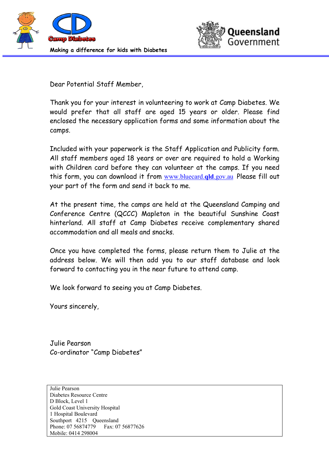



Dear Potential Staff Member,

Thank you for your interest in volunteering to work at Camp Diabetes. We would prefer that all staff are aged 15 years or older. Please find enclosed the necessary application forms and some information about the camps.

Included with your paperwork is the Staff Application and Publicity form. All staff members aged 18 years or over are required to hold a Working with Children card before they can volunteer at the camps. If you need this form, you can download it from www.bluecard.**qld**.gov.auPlease fill out your part of the form and send it back to me.

At the present time, the camps are held at the Queensland Camping and Conference Centre (QCCC) Mapleton in the beautiful Sunshine Coast hinterland. All staff at Camp Diabetes receive complementary shared accommodation and all meals and snacks.

Once you have completed the forms, please return them to Julie at the address below. We will then add you to our staff database and look forward to contacting you in the near future to attend camp.

We look forward to seeing you at Camp Diabetes.

Yours sincerely,

Julie Pearson Co-ordinator "Camp Diabetes"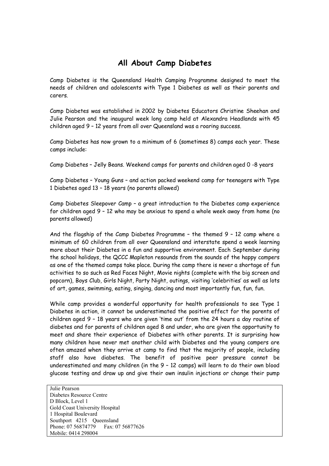## **All About Camp Diabetes**

Camp Diabetes is the Queensland Health Camping Programme designed to meet the needs of children and adolescents with Type 1 Diabetes as well as their parents and carers.

Camp Diabetes was established in 2002 by Diabetes Educators Christine Sheehan and Julie Pearson and the inaugural week long camp held at Alexandra Headlands with 45 children aged 9 – 12 years from all over Queensland was a roaring success.

Camp Diabetes has now grown to a minimum of 6 (sometimes 8) camps each year. These camps include:

Camp Diabetes – Jelly Beans. Weekend camps for parents and children aged 0 -8 years

Camp Diabetes – Young Guns – and action packed weekend camp for teenagers with Type 1 Diabetes aged 13 – 18 years (no parents allowed)

Camp Diabetes Sleepover Camp – a great introduction to the Diabetes camp experience for children aged 9 – 12 who may be anxious to spend a whole week away from home (no parents allowed)

And the flagship of the Camp Diabetes Programme – the themed 9 – 12 camp where a minimum of 60 children from all over Queensland and interstate spend a week learning more about their Diabetes in a fun and supportive environment. Each September during the school holidays, the QCCC Mapleton resounds from the sounds of the happy campers as one of the themed camps take place. During the camp there is never a shortage of fun activities to so such as Red Faces Night, Movie nights (complete with the big screen and popcorn), Boys Club, Girls Night, Party Night, outings, visiting 'celebrities' as well as lots of art, games, swimming, eating, singing, dancing and most importantly fun, fun, fun.

While camp provides a wonderful opportunity for health professionals to see Type 1 Diabetes in action, it cannot be underestimated the positive effect for the parents of children aged 9 – 18 years who are given 'time out' from the 24 hours a day routine of diabetes and for parents of children aged 8 and under, who are given the opportunity to meet and share their experience of Diabetes with other parents. It is surprising how many children have never met another child with Diabetes and the young campers are often amazed when they arrive at camp to find that the majority of people, including staff also have diabetes. The benefit of positive peer pressure cannot be underestimated and many children (in the 9 – 12 camps) will learn to do their own blood glucose testing and draw up and give their own insulin injections or change their pump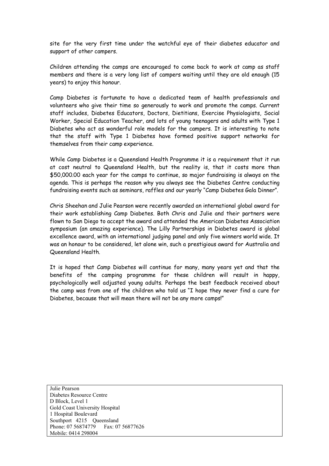site for the very first time under the watchful eye of their diabetes educator and support of other campers.

Children attending the camps are encouraged to come back to work at camp as staff members and there is a very long list of campers waiting until they are old enough (15 years) to enjoy this honour.

Camp Diabetes is fortunate to have a dedicated team of health professionals and volunteers who give their time so generously to work and promote the camps. Current staff includes, Diabetes Educators, Doctors, Dietitians, Exercise Physiologists, Social Worker, Special Education Teacher, and lots of young teenagers and adults with Type 1 Diabetes who act as wonderful role models for the campers. It is interesting to note that the staff with Type 1 Diabetes have formed positive support networks for themselves from their camp experience.

While Camp Diabetes is a Queensland Health Programme it is a requirement that it run at cost neutral to Queensland Health, but the reality is, that it costs more than \$50,000.00 each year for the camps to continue, so major fundraising is always on the agenda. This is perhaps the reason why you always see the Diabetes Centre conducting fundraising events such as seminars, raffles and our yearly "Camp Diabetes Gala Dinner".

Chris Sheehan and Julie Pearson were recently awarded an international global award for their work establishing Camp Diabetes. Both Chris and Julie and their partners were flown to San Diego to accept the award and attended the American Diabetes Association symposium (an amazing experience). The Lilly Partnerships in Diabetes award is global excellence award, with an international judging panel and only five winners world wide. It was an honour to be considered, let alone win, such a prestigious award for Australia and Queensland Health.

It is hoped that Camp Diabetes will continue for many, many years yet and that the benefits of the camping programme for these children will result in happy, psychologically well adjusted young adults. Perhaps the best feedback received about the camp was from one of the children who told us "I hope they never find a cure for Diabetes, because that will mean there will not be any more camps!"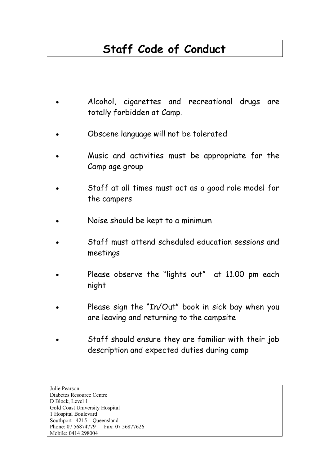## **Staff Code of Conduct**

- Alcohol, cigarettes and recreational drugs are totally forbidden at Camp.
- Obscene language will not be tolerated
- Music and activities must be appropriate for the Camp age group
- Staff at all times must act as a good role model for the campers
- Noise should be kept to a minimum
- Staff must attend scheduled education sessions and meetings
- Please observe the "lights out" at 11.00 pm each night
- Please sign the "In/Out" book in sick bay when you are leaving and returning to the campsite
- Staff should ensure they are familiar with their job description and expected duties during camp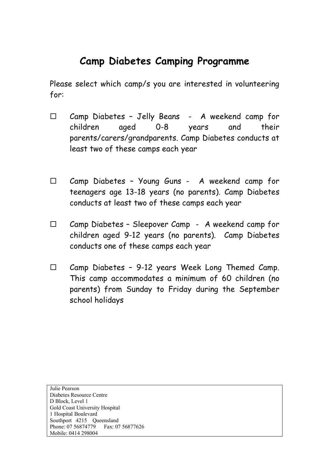## **Camp Diabetes Camping Programme**

Please select which camp/s you are interested in volunteering for:

- $\square$  Camp Diabetes Jelly Beans A weekend camp for children aged 0-8 years and their parents/carers/grandparents. Camp Diabetes conducts at least two of these camps each year
- $\square$  Camp Diabetes Young Guns A weekend camp for teenagers age 13-18 years (no parents). Camp Diabetes conducts at least two of these camps each year
- $\Box$  Camp Diabetes Sleepover Camp A weekend camp for children aged 9-12 years (no parents). Camp Diabetes conducts one of these camps each year
- $\Box$  Camp Diabetes 9-12 years Week Long Themed Camp. This camp accommodates a minimum of 60 children (no parents) from Sunday to Friday during the September school holidays